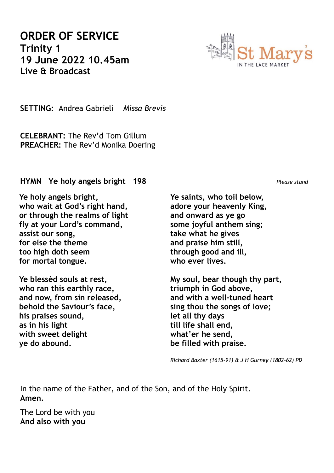**ORDER OF SERVICE Trinity 1 19 June 2022 10.45am Live & Broadcast**



**SETTING:** Andrea Gabrieli *Missa Brevis*

**CELEBRANT:** The Rev'd Tom Gillum **PREACHER:** The Rev'd Monika Doering

#### **HYMN Ye holy angels bright 198** *Please stand*

**Ye holy angels bright, who wait at God's right hand, or through the realms of light fly at your Lord's command, assist our song, for else the theme too high doth seem for mortal tongue.**

**Ye blessèd souls at rest, who ran this earthly race, and now, from sin released, behold the Saviour's face, his praises sound, as in his light with sweet delight ye do abound.** 

**Ye saints, who toil below, adore your heavenly King, and onward as ye go some joyful anthem sing; take what he gives and praise him still, through good and ill, who ever lives.**

**My soul, bear though thy part, triumph in God above, and with a well-tuned heart sing thou the songs of love; let all thy days till life shall end, what'er he send, be filled with praise.**

*Richard Baxter (1615-91) & J H Gurney (1802-62) PD*

In the name of the Father, and of the Son, and of the Holy Spirit. **Amen.**

The Lord be with you **And also with you**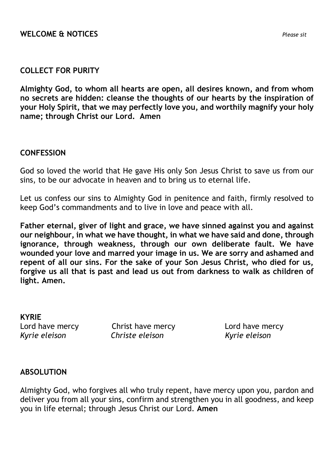## **WELCOME & NOTICES** *Please sit*

#### **COLLECT FOR PURITY**

**Almighty God, to whom all hearts are open, all desires known, and from whom no secrets are hidden: cleanse the thoughts of our hearts by the inspiration of your Holy Spirit, that we may perfectly love you, and worthily magnify your holy name; through Christ our Lord. Amen** 

#### **CONFESSION**

God so loved the world that He gave His only Son Jesus Christ to save us from our sins, to be our advocate in heaven and to bring us to eternal life.

Let us confess our sins to Almighty God in penitence and faith, firmly resolved to keep God's commandments and to live in love and peace with all.

**Father eternal, giver of light and grace, we have sinned against you and against our neighbour, in what we have thought, in what we have said and done, through ignorance, through weakness, through our own deliberate fault. We have wounded your love and marred your image in us. We are sorry and ashamed and repent of all our sins. For the sake of your Son Jesus Christ, who died for us, forgive us all that is past and lead us out from darkness to walk as children of light. Amen.**

**KYRIE**

Lord have mercy Christ have mercy Lord have mercy *Kyrie eleison Christe eleison Kyrie eleison*

#### **ABSOLUTION**

Almighty God, who forgives all who truly repent, have mercy upon you, pardon and deliver you from all your sins, confirm and strengthen you in all goodness, and keep you in life eternal; through Jesus Christ our Lord. **Amen**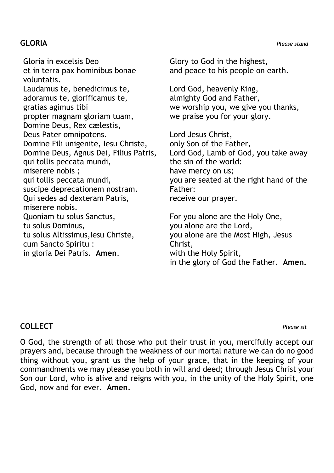Gloria in excelsis Deo et in terra pax hominibus bonae voluntatis. Laudamus te, benedicimus te, adoramus te, glorificamus te, gratias agimus tibi propter magnam gloriam tuam, Domine Deus, Rex cælestis, Deus Pater omnipotens. Domine Fili unigenite, Iesu Christe, Domine Deus, Agnus Dei, Filius Patris, qui tollis peccata mundi, miserere nobis ; qui tollis peccata mundi, suscipe deprecationem nostram. Qui sedes ad dexteram Patris, miserere nobis. Quoniam tu solus Sanctus, tu solus Dominus, tu solus Altissimus,Iesu Christe, cum Sancto Spiritu : in gloria Dei Patris. **Amen**.

Glory to God in the highest, and peace to his people on earth.

Lord God, heavenly King, almighty God and Father, we worship you, we give you thanks, we praise you for your glory.

Lord Jesus Christ, only Son of the Father, Lord God, Lamb of God, you take away the sin of the world: have mercy on us; you are seated at the right hand of the Father: receive our prayer.

For you alone are the Holy One, you alone are the Lord, you alone are the Most High, Jesus Christ, with the Holy Spirit, in the glory of God the Father. **Amen.**

# **COLLECT** *Please sit*

O God, the strength of all those who put their trust in you, mercifully accept our prayers and, because through the weakness of our mortal nature we can do no good thing without you, grant us the help of your grace, that in the keeping of your commandments we may please you both in will and deed; through Jesus Christ your Son our Lord, who is alive and reigns with you, in the unity of the Holy Spirit, one God, now and for ever. **Amen**.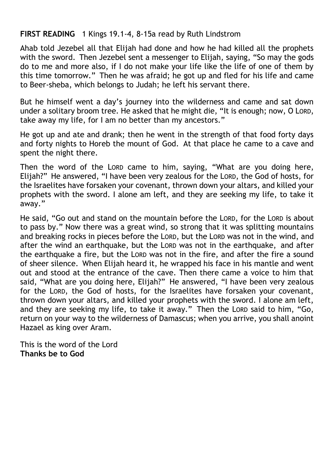# **FIRST READING** 1 Kings 19.1-4, 8-15a read by Ruth Lindstrom

Ahab told Jezebel all that Elijah had done and how he had killed all the prophets with the sword. Then Jezebel sent a messenger to Elijah, saying, "So may the gods do to me and more also, if I do not make your life like the life of one of them by this time tomorrow." Then he was afraid; he got up and fled for his life and came to Beer-sheba, which belongs to Judah; he left his servant there.

But he himself went a day's journey into the wilderness and came and sat down under a solitary broom tree. He asked that he might die, "It is enough; now, O LORD, take away my life, for I am no better than my ancestors."

He got up and ate and drank; then he went in the strength of that food forty days and forty nights to Horeb the mount of God. At that place he came to a cave and spent the night there.

Then the word of the LORD came to him, saying, "What are you doing here, Elijah?" He answered, "I have been very zealous for the LORD, the God of hosts, for the Israelites have forsaken your covenant, thrown down your altars, and killed your prophets with the sword. I alone am left, and they are seeking my life, to take it away."

He said, "Go out and stand on the mountain before the LORD, for the LORD is about to pass by." Now there was a great wind, so strong that it was splitting mountains and breaking rocks in pieces before the LORD, but the LORD was not in the wind, and after the wind an earthquake, but the LORD was not in the earthquake, and after the earthquake a fire, but the LORD was not in the fire, and after the fire a sound of sheer silence. When Elijah heard it, he wrapped his face in his mantle and went out and stood at the entrance of the cave. Then there came a voice to him that said, "What are you doing here, Elijah?" He answered, "I have been very zealous for the LORD, the God of hosts, for the Israelites have forsaken your covenant, thrown down your altars, and killed your prophets with the sword. I alone am left, and they are seeking my life, to take it away." Then the LORD said to him, "Go, return on your way to the wilderness of Damascus; when you arrive, you shall anoint Hazael as king over Aram.

This is the word of the Lord **Thanks be to God**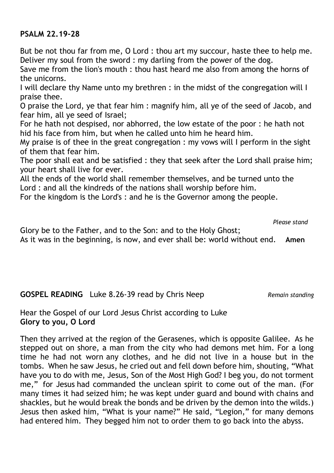## **PSALM 22.19-28**

But be not thou far from me, O Lord : thou art my succour, haste thee to help me. Deliver my soul from the sword : my darling from the power of the dog.

Save me from the lion's mouth : thou hast heard me also from among the horns of the unicorns.

I will declare thy Name unto my brethren : in the midst of the congregation will I praise thee.

O praise the Lord, ye that fear him : magnify him, all ye of the seed of Jacob, and fear him, all ye seed of Israel;

For he hath not despised, nor abhorred, the low estate of the poor : he hath not hid his face from him, but when he called unto him he heard him.

My praise is of thee in the great congregation : my vows will I perform in the sight of them that fear him.

The poor shall eat and be satisfied : they that seek after the Lord shall praise him; your heart shall live for ever.

All the ends of the world shall remember themselves, and be turned unto the Lord : and all the kindreds of the nations shall worship before him.

For the kingdom is the Lord's : and he is the Governor among the people.

 *Please stand*

Glory be to the Father, and to the Son: and to the Holy Ghost; As it was in the beginning, is now, and ever shall be: world without end. **Amen** 

**GOSPEL READING** Luke 8.26-39 read by Chris Neep*Remain standing*

Hear the Gospel of our Lord Jesus Christ according to Luke **Glory to you, O Lord**

Then they arrived at the region of the Gerasenes, which is opposite Galilee. As he stepped out on shore, a man from the city who had demons met him. For a long time he had not worn any clothes, and he did not live in a house but in the tombs. When he saw Jesus, he cried out and fell down before him, shouting, "What have you to do with me, Jesus, Son of the Most High God? I beg you, do not torment me," for Jesus had commanded the unclean spirit to come out of the man. (For many times it had seized him; he was kept under guard and bound with chains and shackles, but he would break the bonds and be driven by the demon into the wilds.) Jesus then asked him, "What is your name?" He said, "Legion," for many demons had entered him. They begged him not to order them to go back into the abyss.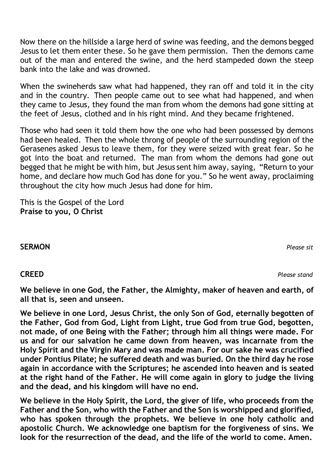Now there on the hillside a large herd of swine was feeding, and the demons begged Jesus to let them enter these. So he gave them permission. Then the demons came out of the man and entered the swine, and the herd stampeded down the steep bank into the lake and was drowned.

When the swineherds saw what had happened, they ran off and told it in the city and in the country. Then people came out to see what had happened, and when they came to Jesus, they found the man from whom the demons had gone sitting at the feet of Jesus, clothed and in his right mind. And they became frightened.

Those who had seen it told them how the one who had been possessed by demons had been healed. Then the whole throng of people of the surrounding region of the Gerasenes asked Jesus to leave them, for they were seized with great fear. So he got into the boat and returned. The man from whom the demons had gone out begged that he might be with him, but Jesus sent him away, saying, "Return to your home, and declare how much God has done for you." So he went away, proclaiming throughout the city how much Jesus had done for him.

This is the Gospel of the Lord **Praise to you, O Christ**

**SERMON** *Please sit*

# **CREED** *Please stand*

**We believe in one God, the Father, the Almighty, maker of heaven and earth, of all that is, seen and unseen.** 

**We believe in one Lord, Jesus Christ, the only Son of God, eternally begotten of the Father, God from God, Light from Light, true God from true God, begotten, not made, of one Being with the Father; through him all things were made. For us and for our salvation he came down from heaven, was incarnate from the Holy Spirit and the Virgin Mary and was made man. For our sake he was crucified under Pontius Pilate; he suffered death and was buried. On the third day he rose again in accordance with the Scriptures; he ascended into heaven and is seated at the right hand of the Father. He will come again in glory to judge the living and the dead, and his kingdom will have no end.** 

**We believe in the Holy Spirit, the Lord, the giver of life, who proceeds from the Father and the Son, who with the Father and the Son is worshipped and glorified, who has spoken through the prophets. We believe in one holy catholic and apostolic Church. We acknowledge one baptism for the forgiveness of sins. We look for the resurrection of the dead, and the life of the world to come. Amen.**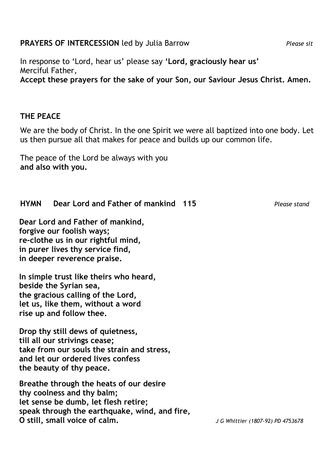# **PRAYERS OF INTERCESSION** led by Julia Barrow *Please sit*

In response to 'Lord, hear us' please say **'Lord, graciously hear us'** Merciful Father, **Accept these prayers for the sake of your Son, our Saviour Jesus Christ. Amen.**

## **THE PEACE**

We are the body of Christ. In the one Spirit we were all baptized into one body. Let us then pursue all that makes for peace and builds up our common life.

The peace of the Lord be always with you **and also with you.**

| HYMN Dear Lord and Father of mankind 115                                                                                                                                                        |                                   | Please stand |
|-------------------------------------------------------------------------------------------------------------------------------------------------------------------------------------------------|-----------------------------------|--------------|
| Dear Lord and Father of mankind,<br>forgive our foolish ways;<br>re-clothe us in our rightful mind,<br>in purer lives thy service find,<br>in deeper reverence praise.                          |                                   |              |
| In simple trust like theirs who heard,<br>beside the Syrian sea,<br>the gracious calling of the Lord,<br>let us, like them, without a word<br>rise up and follow thee.                          |                                   |              |
| Drop thy still dews of quietness,<br>till all our strivings cease;<br>take from our souls the strain and stress,<br>and let our ordered lives confess<br>the beauty of thy peace.               |                                   |              |
| Breathe through the heats of our desire<br>thy coolness and thy balm;<br>let sense be dumb, let flesh retire;<br>speak through the earthquake, wind, and fire,<br>O still, small voice of calm. | J G Whittier (1807-92) PD 4753678 |              |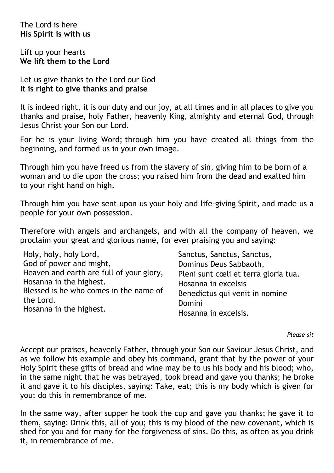The Lord is here **His Spirit is with us**

Lift up your hearts **We lift them to the Lord**

Let us give thanks to the Lord our God **It is right to give thanks and praise**

It is indeed right, it is our duty and our joy, at all times and in all places to give you thanks and praise, holy Father, heavenly King, almighty and eternal God, through Jesus Christ your Son our Lord.

For he is your living Word; through him you have created all things from the beginning, and formed us in your own image.

Through him you have freed us from the slavery of sin, giving him to be born of a woman and to die upon the cross; you raised him from the dead and exalted him to your right hand on high.

Through him you have sent upon us your holy and life-giving Spirit, and made us a people for your own possession.

Therefore with angels and archangels, and with all the company of heaven, we proclaim your great and glorious name, for ever praising you and saying:

Holy, holy, holy Lord, God of power and might, Heaven and earth are full of your glory, Hosanna in the highest. Blessed is he who comes in the name of the Lord. Hosanna in the highest.

Sanctus, Sanctus, Sanctus, Dominus Deus Sabbaoth, Pleni sunt cœli et terra gloria tua. Hosanna in excelsis Benedictus qui venit in nomine Domini Hosanna in excelsis.

*Please sit* 

Accept our praises, heavenly Father, through your Son our Saviour Jesus Christ, and as we follow his example and obey his command, grant that by the power of your Holy Spirit these gifts of bread and wine may be to us his body and his blood; who, in the same night that he was betrayed, took bread and gave you thanks; he broke it and gave it to his disciples, saying: Take, eat; this is my body which is given for you; do this in remembrance of me.

In the same way, after supper he took the cup and gave you thanks; he gave it to them, saying: Drink this, all of you; this is my blood of the new covenant, which is shed for you and for many for the forgiveness of sins. Do this, as often as you drink it, in remembrance of me.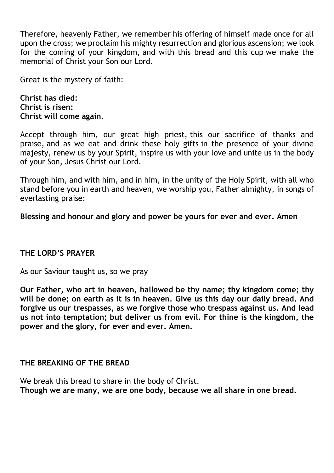Therefore, heavenly Father, we remember his offering of himself made once for all upon the cross; we proclaim his mighty resurrection and glorious ascension; we look for the coming of your kingdom, and with this bread and this cup we make the memorial of Christ your Son our Lord.

Great is the mystery of faith:

**Christ has died: Christ is risen: Christ will come again.**

Accept through him, our great high priest, this our sacrifice of thanks and praise, and as we eat and drink these holy gifts in the presence of your divine majesty, renew us by your Spirit, inspire us with your love and unite us in the body of your Son, Jesus Christ our Lord.

Through him, and with him, and in him, in the unity of the Holy Spirit, with all who stand before you in earth and heaven, we worship you, Father almighty, in songs of everlasting praise:

**Blessing and honour and glory and power be yours for ever and ever. Amen**

# **THE LORD'S PRAYER**

As our Saviour taught us, so we pray

**Our Father, who art in heaven, hallowed be thy name; thy kingdom come; thy will be done; on earth as it is in heaven. Give us this day our daily bread. And forgive us our trespasses, as we forgive those who trespass against us. And lead us not into temptation; but deliver us from evil. For thine is the kingdom, the power and the glory, for ever and ever. Amen.**

# **THE BREAKING OF THE BREAD**

We break this bread to share in the body of Christ. **Though we are many, we are one body, because we all share in one bread.**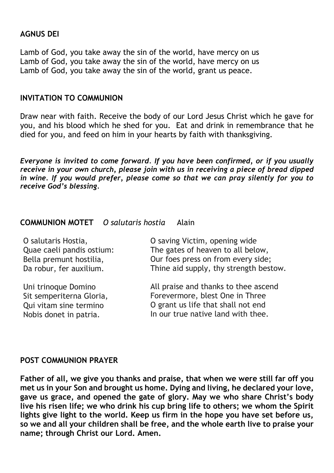## **AGNUS DEI**

Lamb of God, you take away the sin of the world, have mercy on us Lamb of God, you take away the sin of the world, have mercy on us Lamb of God, you take away the sin of the world, grant us peace.

## **INVITATION TO COMMUNION**

Draw near with faith. Receive the body of our Lord Jesus Christ which he gave for you, and his blood which he shed for you. Eat and drink in remembrance that he died for you, and feed on him in your hearts by faith with thanksgiving.

*Everyone is invited to come forward. If you have been confirmed, or if you usually receive in your own church, please join with us in receiving a piece of bread dipped in wine. If you would prefer, please come so that we can pray silently for you to receive God's blessing.*

## **COMMUNION MOTET** *O salutaris hostia* Alain

| O salutaris Hostia,                                                                                 | O saving Victim, opening wide                                                                                                                       |
|-----------------------------------------------------------------------------------------------------|-----------------------------------------------------------------------------------------------------------------------------------------------------|
| Quae caeli pandis ostium:                                                                           | The gates of heaven to all below,                                                                                                                   |
| Bella premunt hostilia,                                                                             | Our foes press on from every side;                                                                                                                  |
| Da robur, fer auxilium.                                                                             | Thine aid supply, thy strength bestow.                                                                                                              |
| Uni trinoque Domino<br>Sit semperiterna Gloria,<br>Qui vitam sine termino<br>Nobis donet in patria. | All praise and thanks to thee ascend<br>Forevermore, blest One in Three<br>O grant us life that shall not end<br>In our true native land with thee. |

#### **POST COMMUNION PRAYER**

**Father of all, we give you thanks and praise, that when we were still far off you met us in your Son and brought us home. Dying and living, he declared your love, gave us grace, and opened the gate of glory. May we who share Christ's body live his risen life; we who drink his cup bring life to others; we whom the Spirit lights give light to the world. Keep us firm in the hope you have set before us, so we and all your children shall be free, and the whole earth live to praise your name; through Christ our Lord. Amen.**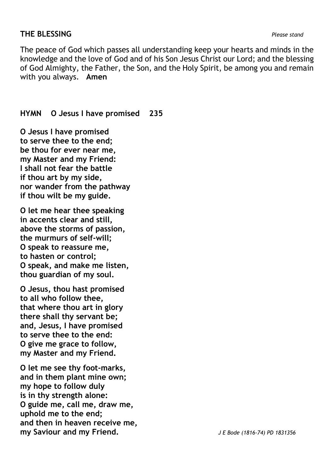## **THE BLESSING** *Please stand*

The peace of God which passes all understanding keep your hearts and minds in the knowledge and the love of God and of his Son Jesus Christ our Lord; and the blessing of God Almighty, the Father, the Son, and the Holy Spirit, be among you and remain with you always. **Amen**

# **HYMN O Jesus I have promised 235**

**O Jesus I have promised to serve thee to the end; be thou for ever near me, my Master and my Friend: I shall not fear the battle if thou art by my side, nor wander from the pathway if thou wilt be my guide.**

**O let me hear thee speaking in accents clear and still, above the storms of passion, the murmurs of self-will; O speak to reassure me, to hasten or control; O speak, and make me listen, thou guardian of my soul.**

**O Jesus, thou hast promised to all who follow thee, that where thou art in glory there shall thy servant be; and, Jesus, I have promised to serve thee to the end: O give me grace to follow, my Master and my Friend.**

**O let me see thy foot-marks, and in them plant mine own; my hope to follow duly is in thy strength alone: O guide me, call me, draw me, uphold me to the end; and then in heaven receive me, my Saviour and my Friend.** *J E Bode (1816-74) PD 1831356*